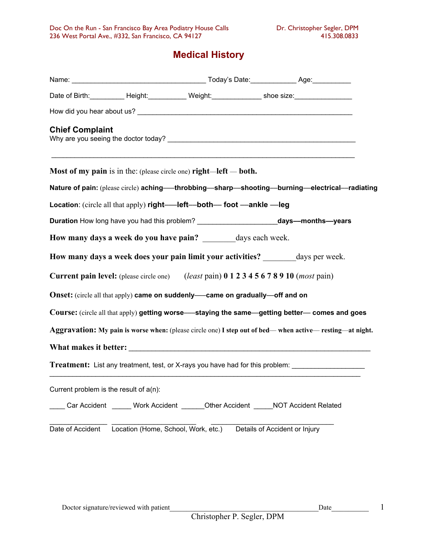# **Medical History**

|                                           |                                                                                     |  | Date of Birth: ___________ Height: ____________ Weight: ______________ shoe size: _________________            |  |
|-------------------------------------------|-------------------------------------------------------------------------------------|--|----------------------------------------------------------------------------------------------------------------|--|
|                                           |                                                                                     |  |                                                                                                                |  |
| <b>Chief Complaint</b>                    |                                                                                     |  |                                                                                                                |  |
|                                           | <b>Most of my pain</b> is in the: (please circle one) <b>right</b> —left — both.    |  | ,我们也不能在这里的人,我们也不能在这里的人,我们也不能在这里的人,我们也不能在这里的人,我们也不能在这里的人,我们也不能在这里的人,我们也不能在这里的人,我们                               |  |
|                                           |                                                                                     |  | Nature of pain: (please circle) aching—throbbing—sharp—shooting—burning—electrical—radiating                   |  |
|                                           | Location: (circle all that apply) right---- left---both--- foot --- ankle --- leg   |  |                                                                                                                |  |
|                                           |                                                                                     |  | Duration How long have you had this problem? ____________________________days---months---years                 |  |
|                                           | How many days a week do you have pain? ________ days each week.                     |  |                                                                                                                |  |
|                                           |                                                                                     |  | How many days a week does your pain limit your activities? ________ days per week.                             |  |
|                                           |                                                                                     |  | <b>Current pain level:</b> (please circle one) ( <i>least</i> pain) 0 1 2 3 4 5 6 7 8 9 10 ( <i>most</i> pain) |  |
|                                           | <b>Onset:</b> (circle all that apply) came on suddenly—came on gradually—off and on |  |                                                                                                                |  |
|                                           |                                                                                     |  | Course: (circle all that apply) getting worse—staying the same—getting better—comes and goes                   |  |
|                                           |                                                                                     |  | Aggravation: My pain is worse when: (please circle one) I step out of bed—when active—resting—at night.        |  |
|                                           |                                                                                     |  |                                                                                                                |  |
|                                           |                                                                                     |  | Treatment: List any treatment, test, or X-rays you have had for this problem: _____________________            |  |
| Current problem is the result of $a(n)$ : |                                                                                     |  |                                                                                                                |  |
|                                           |                                                                                     |  | Car Accident ______ Work Accident _______Other Accident ______NOT Accident Related                             |  |
|                                           | Date of Accident Location (Home, School, Work, etc.) Details of Accident or Injury  |  |                                                                                                                |  |

 $\mathbf{1}$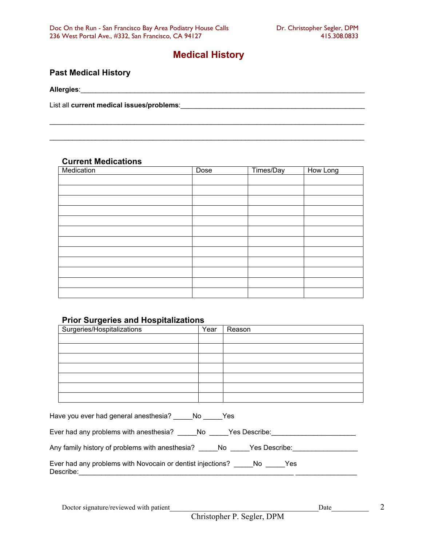# **Medical History**

## **Past Medical History**

#### **Current Medications**

| Medication | Dose | Times/Day | How Long |
|------------|------|-----------|----------|
|            |      |           |          |
|            |      |           |          |
|            |      |           |          |
|            |      |           |          |
|            |      |           |          |
|            |      |           |          |
|            |      |           |          |
|            |      |           |          |
|            |      |           |          |
|            |      |           |          |
|            |      |           |          |
|            |      |           |          |

#### **Prior Surgeries and Hospitalizations**

| Surgeries/Hospitalizations                                              | Year | Reason |  |  |  |  |
|-------------------------------------------------------------------------|------|--------|--|--|--|--|
|                                                                         |      |        |  |  |  |  |
|                                                                         |      |        |  |  |  |  |
|                                                                         |      |        |  |  |  |  |
|                                                                         |      |        |  |  |  |  |
|                                                                         |      |        |  |  |  |  |
|                                                                         |      |        |  |  |  |  |
|                                                                         |      |        |  |  |  |  |
| Have you ever had general anesthesia? No No Nes                         |      |        |  |  |  |  |
| Ever had any problems with anesthesia? _______ No _______ Yes Describe: |      |        |  |  |  |  |
| Any family history of problems with anesthesia? No Yes Describe:        |      |        |  |  |  |  |

|           | Ever had any problems with Novocain or dentist injections? | No. | Yes. |
|-----------|------------------------------------------------------------|-----|------|
| Describe: |                                                            |     |      |

 $\overline{2}$